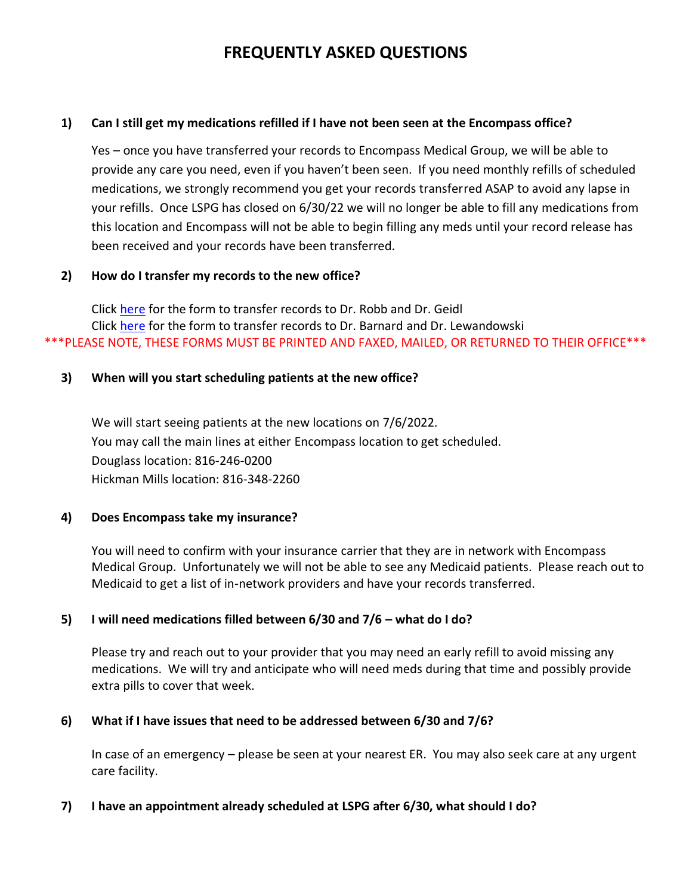# **FREQUENTLY ASKED QUESTIONS**

#### **1) Can I still get my medications refilled if I have not been seen at the Encompass office?**

Yes – once you have transferred your records to Encompass Medical Group, we will be able to provide any care you need, even if you haven't been seen. If you need monthly refills of scheduled medications, we strongly recommend you get your records transferred ASAP to avoid any lapse in your refills. Once LSPG has closed on 6/30/22 we will no longer be able to fill any medications from this location and Encompass will not be able to begin filling any meds until your record release has been received and your records have been transferred.

#### **2) How do I transfer my records to the new office?**

Click [here](https://lsphysicians.com/wp-content/uploads/2022/04/IM-records-Release-Douglas-Office.pdf) for the form to transfer records to Dr. Robb and Dr. Geidl Click [here](https://lsphysicians.com/wp-content/uploads/2022/05/IM-records-Release-Hickman-Mills.pdf) for the form to transfer records to Dr. Barnard and Dr. Lewandowski \*\*\*PLEASE NOTE, THESE FORMS MUST BE PRINTED AND FAXED, MAILED, OR RETURNED TO THEIR OFFICE\*\*\*

## **3) When will you start scheduling patients at the new office?**

We will start seeing patients at the new locations on 7/6/2022. You may call the main lines at either Encompass location to get scheduled. Douglass location: 816-246-0200 Hickman Mills location: 816-348-2260

#### **4) Does Encompass take my insurance?**

You will need to confirm with your insurance carrier that they are in network with Encompass Medical Group. Unfortunately we will not be able to see any Medicaid patients. Please reach out to Medicaid to get a list of in-network providers and have your records transferred.

# **5) I will need medications filled between 6/30 and 7/6 – what do I do?**

Please try and reach out to your provider that you may need an early refill to avoid missing any medications. We will try and anticipate who will need meds during that time and possibly provide extra pills to cover that week.

# **6) What if I have issues that need to be addressed between 6/30 and 7/6?**

In case of an emergency – please be seen at your nearest ER. You may also seek care at any urgent care facility.

#### **7) I have an appointment already scheduled at LSPG after 6/30, what should I do?**